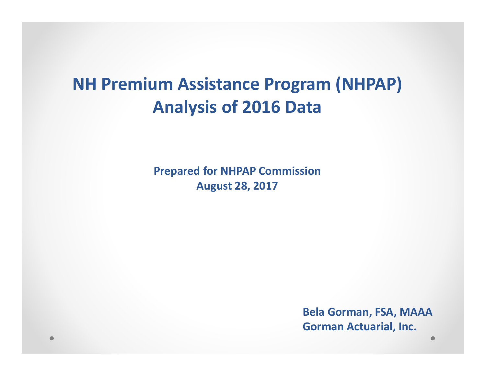#### **NH Premium Assistance Program (NHPAP) Analysis of 2016 Data**

**Prepared for NHPAP CommissionAugust 28, 2017** 

> **Bela Gorman, FSA, MAAAGorman Actuarial, Inc.**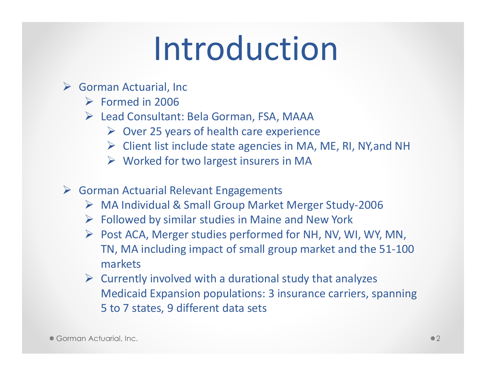# Introduction

- Sorman Actuarial, Inc
	- $\triangleright$  Formed in 2006
	- Lead Consultant: Bela Gorman, FSA, MAAA
		- $\triangleright$  Over 25 years of health care experience
		- $\triangleright$  Client list include state agencies in MA, ME, RI, NY, and NH
		- Worked for two largest insurers in MA
- Gorman Actuarial Relevant Engagements
	- ► MA Individual & Small Group Market Merger Study-2006
	- $\triangleright$  Followed by similar studies in Maine and New York
	- Post ACA, Merger studies performed for NH, NV, WI, WY, MN, TN, MA including impact of small group market and the 51-100 markets
	- $\triangleright$  Currently involved with a durational study that analyzes Medicaid Expansion populations: 3 insurance carriers, spanning 5 to 7 states, 9 different data sets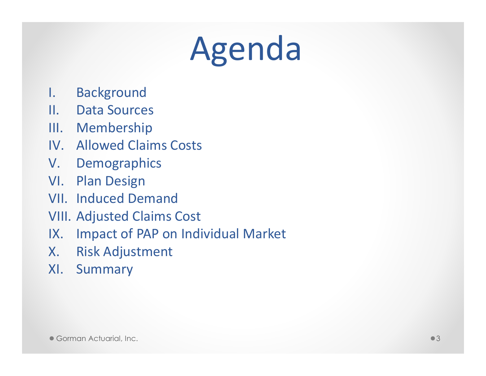# Agenda

- I. Background
- II. Data Sources
- III. Membership
- IV. Allowed Claims Costs
- V. Demographics
- VI. Plan Design
- VII. Induced Demand
- VIII. Adjusted Claims Cost
- IX. Impact of PAP on Individual Market<br>X. Risk Adjustment
- **Risk Adjustment**
- XI. Summary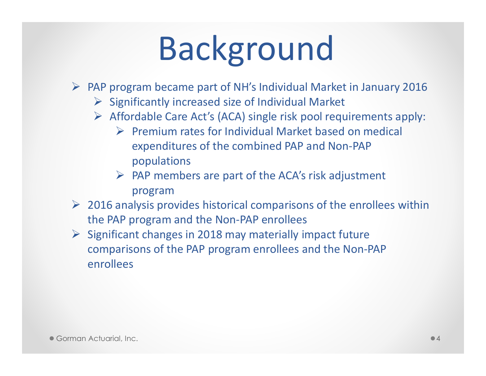# Background

- $\triangleright$  PAP program became part of NH's Individual Market in January 2016
	- $\triangleright$  Significantly increased size of Individual Market
	- Affordable Care Act's (ACA) single risk pool requirements apply:
		- Premium rates for Individual Market based on medical expenditures of the combined PAP and Non-PAP populations
		- > PAP members are part of the ACA's risk adjustment program
- $\geq$  2016 analysis provides historical comparisons of the enrollees within the PAP program and the Non-PAP enrollees
- Significant changes in 2018 may materially impact future comparisons of the PAP program enrollees and the Non-PAP enrollees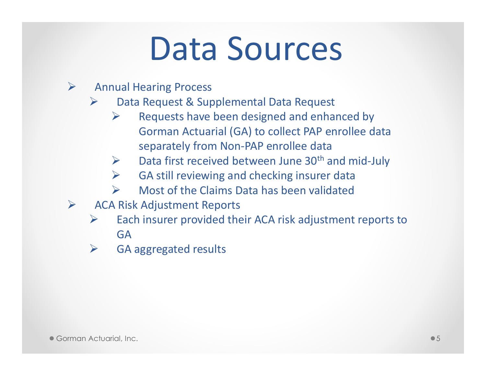## Data Sources

#### $\blacktriangleright$ Annual Hearing Process

- $\blacktriangleright$  Data Request & Supplemental Data Request
	- $\blacktriangleright$  Requests have been designed and enhanced by Gorman Actuarial (GA) to collect PAP enrollee data separately from Non-PAP enrollee data
	- $\triangleright$  Data first received between June 30<sup>th</sup> and mid-July  $\blacktriangleright$
	- $\blacktriangleright$ GA still reviewing and checking insurer data
	- $\triangleright$ Most of the Claims Data has been validated
- $\blacktriangleright$  ACA Risk Adjustment Reports
	- $\sum_{i=1}^{n}$  Each insurer provided their ACA risk adjustment reports to GA
	- **►** GA aggregated results  $\blacktriangleright$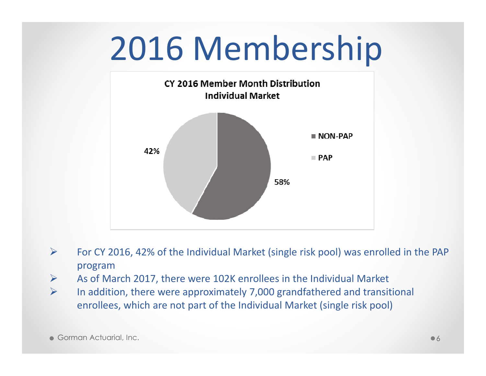# 2016 Membership



- $\blacktriangleright$  For CY 2016, 42% of the Individual Market (single risk pool) was enrolled in the PAP program
- As of March 2017, there were 102K enrollees in the Individual Market  $\blacktriangleright$
- $\blacktriangleright$  In addition, there were approximately 7,000 grandfathered and transitional enrollees, which are not part of the Individual Market (single risk pool)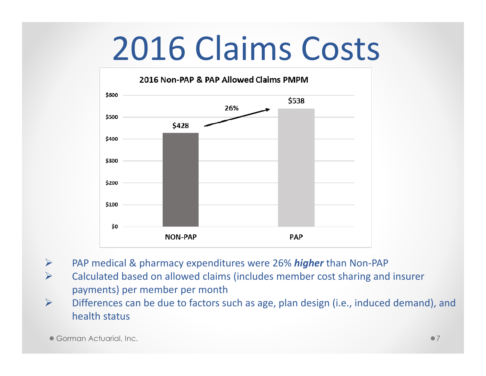# 2016 Claims Costs



- $\blacktriangleright$ PAP medical & pharmacy expenditures were 26% *higher* than Non-PAP
- $\blacktriangleright$  Calculated based on allowed claims (includes member cost sharing and insurer payments) per member per month
- Differences can be due to factors such as age, plan design (i.e., induced demand), and  $\blacktriangleright$ health status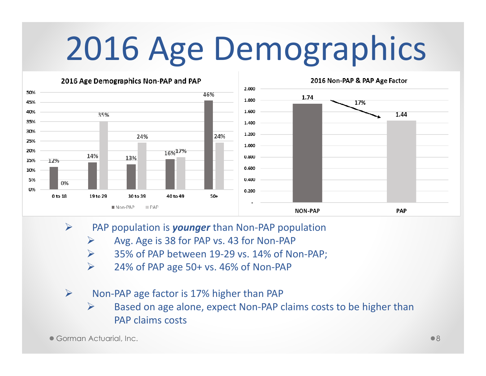# 2016 Age Demographics



- $\blacktriangleright$  PAP population is *younger* than Non-PAP population
	- $\blacktriangleright$ Avg. Age is 38 for PAP vs. 43 for Non-PAP
	- $\blacktriangleright$ 35% of PAP between 19-29 vs. 14% of Non-PAP;
	- $\blacktriangleright$ 24% of PAP age 50+ vs. 46% of Non-PAP
- $\blacktriangleright$  Non-PAP age factor is 17% higher than PAP
	- $\blacktriangleright$  Based on age alone, expect Non-PAP claims costs to be higher than PAP claims costs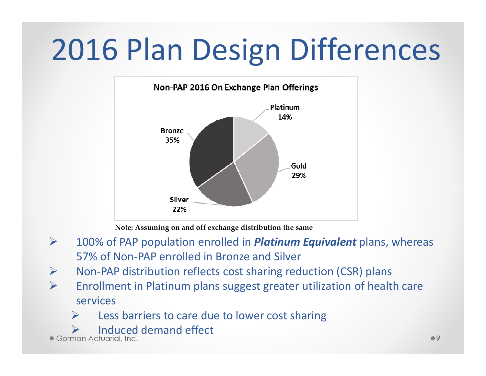## 2016 Plan Design Differences



**Note: Assuming on and off exchange distribution the same**

- $\blacktriangleright$  100% of PAP population enrolled in *Platinum Equivalent* plans, whereas 57% of Non-PAP enrolled in Bronze and Silver
- $\blacktriangleright$ Non-PAP distribution reflects cost sharing reduction (CSR) plans
- $\blacktriangleright$  Enrollment in Platinum plans suggest greater utilization of health care services
	- $\blacktriangleright$ Less barriers to care due to lower cost sharing
	- $\blacktriangleright$ Induced demand effect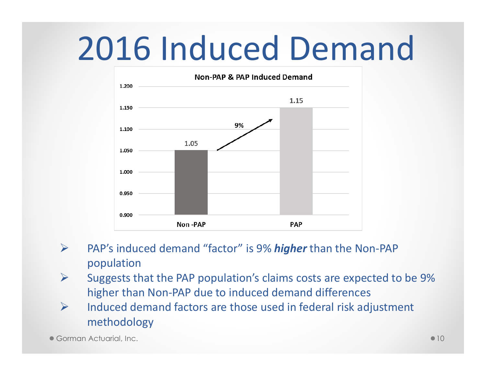# 2016 Induced Demand



- $\blacktriangleright$  PAP's induced demand "factor" is 9% *higher* than the Non-PAP population
- $\blacktriangleright$  Suggests that the PAP population's claims costs are expected to be 9% higher than Non-PAP due to induced demand differences
- $\blacktriangleright$  Induced demand factors are those used in federal risk adjustment methodology

Gorman Actuarial, Inc.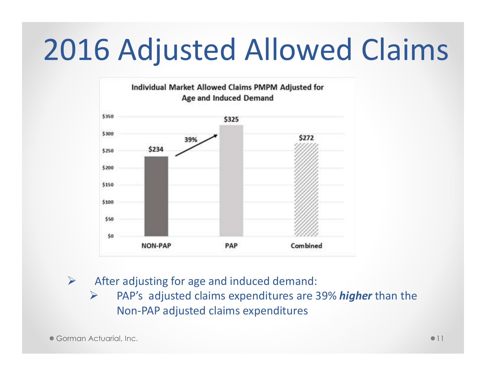## 2016 Adjusted Allowed Claims



 $\blacktriangleright$ After adjusting for age and induced demand:

 $\blacktriangleright$  PAP's adjusted claims expenditures are 39% *higher* than the Non-PAP adjusted claims expenditures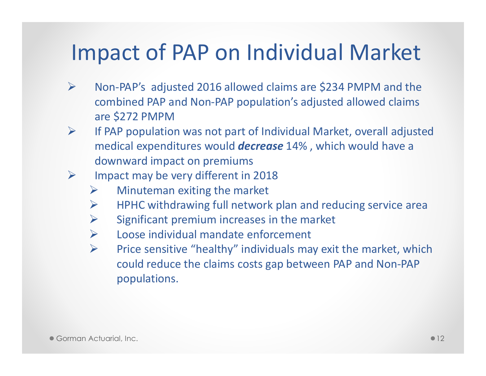#### Impact of PAP on Individual Market

- $\blacktriangleright$  Non-PAP's adjusted 2016 allowed claims are \$234 PMPM and the combined PAP and Non-PAP population's adjusted allowed claims are \$272 PMPM
- $\triangleright$  If PAP population was not part of Individual Market, overall adjusted  $\blacktriangleright$ medical expenditures would *decrease* 14% , which would have a downward impact on premiums
- $\blacktriangleright$  Impact may be very different in 2018
	- $\blacktriangleright$ Minuteman exiting the market
	- $\blacktriangleright$ HPHC withdrawing full network plan and reducing service area
	- $\blacktriangleright$ Significant premium increases in the market
	- $\blacktriangleright$ Loose individual mandate enforcement
	- $\blacktriangleright$  Price sensitive "healthy" individuals may exit the market, which could reduce the claims costs gap between PAP and Non-PAP populations.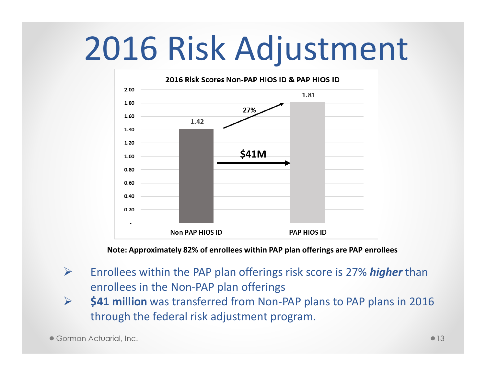# 2016 Risk Adjustment



**Note: Approximately 82% of enrollees within PAP plan offerings are PAP enrollees**

- $\blacktriangleright$  Enrollees within the PAP plan offerings risk score is 27% *higher* than enrollees in the Non-PAP plan offerings
- **\$41 million** was transferred from Non-PAP plans to PAP plans in 2016  $\blacktriangleright$ through the federal risk adjustment program.

Gorman Actuarial, Inc.